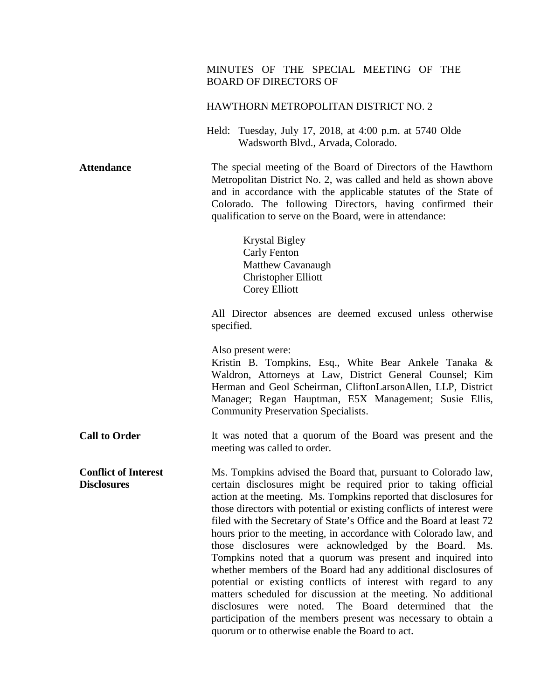## MINUTES OF THE SPECIAL MEETING OF THE BOARD OF DIRECTORS OF

#### HAWTHORN METROPOLITAN DISTRICT NO. 2

Held: Tuesday, July 17, 2018, at 4:00 p.m. at 5740 Olde Wadsworth Blvd., Arvada, Colorado.

**Attendance** The special meeting of the Board of Directors of the Hawthorn Metropolitan District No. 2, was called and held as shown above and in accordance with the applicable statutes of the State of Colorado. The following Directors, having confirmed their qualification to serve on the Board, were in attendance:

> Krystal Bigley Carly Fenton Matthew Cavanaugh Christopher Elliott Corey Elliott

All Director absences are deemed excused unless otherwise specified.

Also present were:

Kristin B. Tompkins, Esq., White Bear Ankele Tanaka & Waldron, Attorneys at Law, District General Counsel; Kim Herman and Geol Scheirman, CliftonLarsonAllen, LLP, District Manager; Regan Hauptman, E5X Management; Susie Ellis, Community Preservation Specialists.

**Call to Order** It was noted that a quorum of the Board was present and the meeting was called to order.

**Conflict of Interest Disclosures** Ms. Tompkins advised the Board that, pursuant to Colorado law, certain disclosures might be required prior to taking official action at the meeting. Ms. Tompkins reported that disclosures for those directors with potential or existing conflicts of interest were filed with the Secretary of State's Office and the Board at least 72 hours prior to the meeting, in accordance with Colorado law, and those disclosures were acknowledged by the Board. Ms. Tompkins noted that a quorum was present and inquired into whether members of the Board had any additional disclosures of potential or existing conflicts of interest with regard to any matters scheduled for discussion at the meeting. No additional disclosures were noted. The Board determined that the participation of the members present was necessary to obtain a quorum or to otherwise enable the Board to act.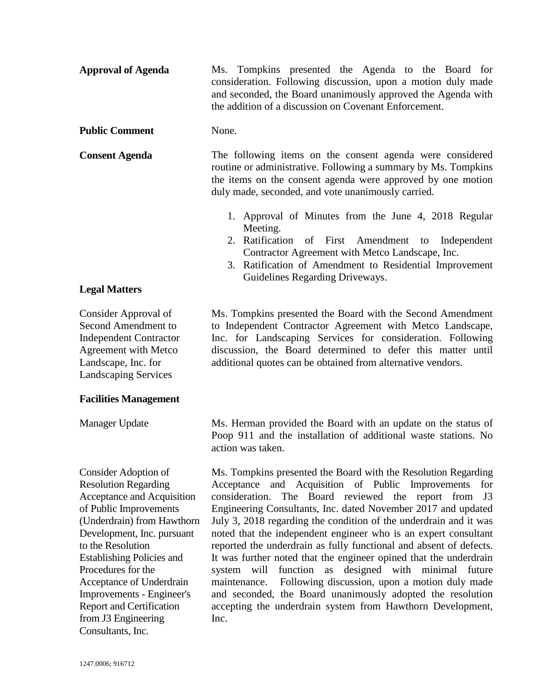| <b>Approval of Agenda</b> |                                                                                                                                                                                       | Ms. Tompkins presented the Agenda to the Board for |  |  |  |  |  |  |  |  |  |
|---------------------------|---------------------------------------------------------------------------------------------------------------------------------------------------------------------------------------|----------------------------------------------------|--|--|--|--|--|--|--|--|--|
|                           | consideration. Following discussion, upon a motion duly made<br>and seconded, the Board unanimously approved the Agenda with<br>the addition of a discussion on Covenant Enforcement. |                                                    |  |  |  |  |  |  |  |  |  |
|                           |                                                                                                                                                                                       |                                                    |  |  |  |  |  |  |  |  |  |
|                           |                                                                                                                                                                                       |                                                    |  |  |  |  |  |  |  |  |  |
|                           |                                                                                                                                                                                       |                                                    |  |  |  |  |  |  |  |  |  |

### **Public Comment** None.

**Consent Agenda** The following items on the consent agenda were considered routine or administrative. Following a summary by Ms. Tompkins the items on the consent agenda were approved by one motion duly made, seconded, and vote unanimously carried.

action was taken.

- 1. Approval of Minutes from the June 4, 2018 Regular Meeting.
- 2. Ratification of First Amendment to Independent Contractor Agreement with Metco Landscape, Inc.
- 3. Ratification of Amendment to Residential Improvement Guidelines Regarding Driveways.

Ms. Tompkins presented the Board with the Second Amendment to Independent Contractor Agreement with Metco Landscape, Inc. for Landscaping Services for consideration. Following discussion, the Board determined to defer this matter until additional quotes can be obtained from alternative vendors.

Ms. Herman provided the Board with an update on the status of Poop 911 and the installation of additional waste stations. No

Ms. Tompkins presented the Board with the Resolution Regarding Acceptance and Acquisition of Public Improvements for consideration. The Board reviewed the report from J3 Engineering Consultants, Inc. dated November 2017 and updated July 3, 2018 regarding the condition of the underdrain and it was noted that the independent engineer who is an expert consultant reported the underdrain as fully functional and absent of defects. It was further noted that the engineer opined that the underdrain system will function as designed with minimal future maintenance. Following discussion, upon a motion duly made and seconded, the Board unanimously adopted the resolution accepting the underdrain system from Hawthorn Development, Inc.

# **Legal Matters**

Consider Approval of Second Amendment to Independent Contractor Agreement with Metco Landscape, Inc. for Landscaping Services

### **Facilities Management**

Manager Update

Consider Adoption of Resolution Regarding Acceptance and Acquisition of Public Improvements (Underdrain) from Hawthorn Development, Inc. pursuant to the Resolution Establishing Policies and Procedures for the Acceptance of Underdrain Improvements - Engineer's Report and Certification from J3 Engineering Consultants, Inc.